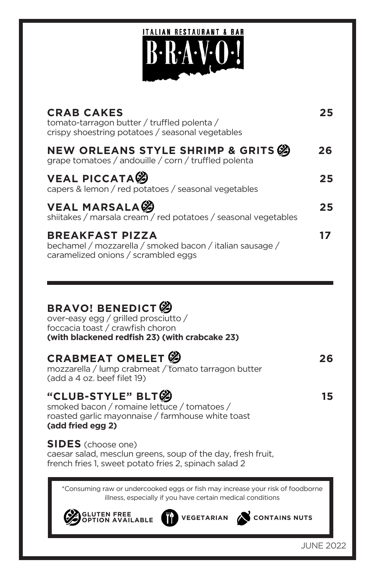# **ITALIAN RESTAURANT & BAR**

| <b>CRAB CAKES</b><br>tomato-tarragon butter / truffled polenta /<br>crispy shoestring potatoes / seasonal vegetables      | 25. |
|---------------------------------------------------------------------------------------------------------------------------|-----|
| NEW ORLEANS STYLE SHRIMP & GRITS<br>grape tomatoes / andouille / corn / truffled polenta                                  | 26  |
| <b>VEAL PICCATA</b><br>capers & lemon / red potatoes / seasonal vegetables                                                | 25  |
| <b>VEAL MARSALA</b><br>shiitakes / marsala cream / red potatoes / seasonal vegetables                                     | 25  |
| <b>BREAKFAST PIZZA</b><br>bechamel / mozzarella / smoked bacon / italian sausage /<br>caramelized onions / scrambled eggs | 17  |

#### **BRAVO! BENEDICT**

over-easy egg / grilled prosciutto / foccacia toast / crawfish choron **(with blackened redfish 23) (with crabcake 23)**

#### **CRABMEAT OMELET 39** 26

mozzarella / lump crabmeat / tomato tarragon butter (add a 4 oz. beef filet 19)

#### "CLUB-STYLE" BLT<sup>ood</sup>

smoked bacon / romaine lettuce / tomatoes / roasted garlic mayonnaise / farmhouse white toast **(add fried egg 2)** 

**SIDES** (choose one)

caesar salad, mesclun greens, soup of the day, fresh fruit, french fries 1, sweet potato fries 2, spinach salad 2

\*Consuming raw or undercooked eggs or fish may increase your risk of foodborne illness, especially if you have certain medical conditions

| <b>SELUTEN FREE</b> |  |
|---------------------|--|
|                     |  |



**OPTION AVAILABLE VEGETARIAN CONTAINS NUTS**